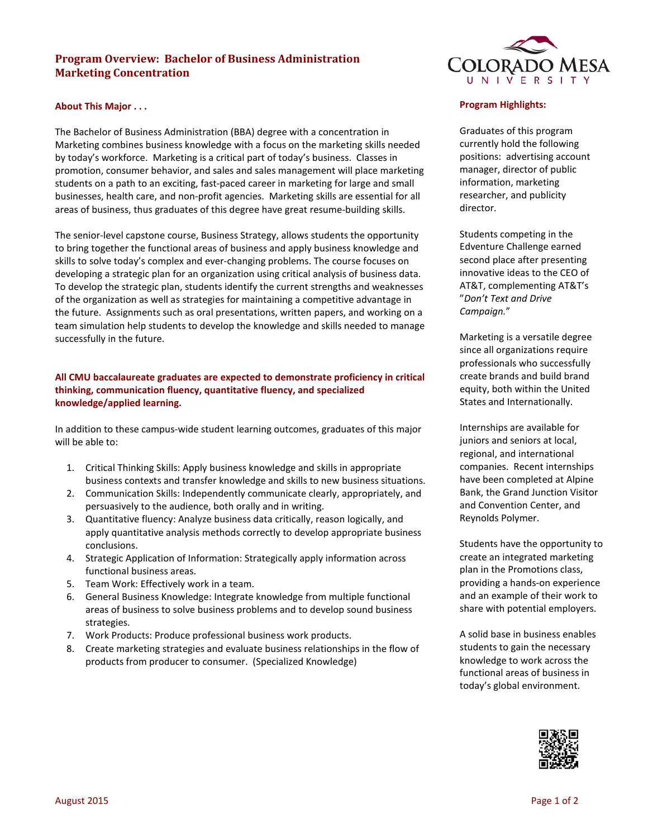# **Program Overview: Bachelor of Business Administration Marketing Concentration**

#### **About This Major . . .**

The Bachelor of Business Administration (BBA) degree with a concentration in Marketing combines business knowledge with a focus on the marketing skills needed by today's workforce. Marketing is a critical part of today's business. Classes in promotion, consumer behavior, and sales and sales management will place marketing students on a path to an exciting, fast-paced career in marketing for large and small businesses, health care, and non-profit agencies. Marketing skills are essential for all areas of business, thus graduates of this degree have great resume-building skills.

The senior-level capstone course, Business Strategy, allows students the opportunity to bring together the functional areas of business and apply business knowledge and skills to solve today's complex and ever-changing problems. The course focuses on developing a strategic plan for an organization using critical analysis of business data. To develop the strategic plan, students identify the current strengths and weaknesses of the organization as well as strategies for maintaining a competitive advantage in the future. Assignments such as oral presentations, written papers, and working on a team simulation help students to develop the knowledge and skills needed to manage successfully in the future.

## **All CMU baccalaureate graduates are expected to demonstrate proficiency in critical thinking, communication fluency, quantitative fluency, and specialized knowledge/applied learning.**

In addition to these campus-wide student learning outcomes, graduates of this major will be able to:

- 1. Critical Thinking Skills: Apply business knowledge and skills in appropriate business contexts and transfer knowledge and skills to new business situations.
- 2. Communication Skills: Independently communicate clearly, appropriately, and persuasively to the audience, both orally and in writing.
- 3. Quantitative fluency: Analyze business data critically, reason logically, and apply quantitative analysis methods correctly to develop appropriate business conclusions.
- 4. Strategic Application of Information: Strategically apply information across functional business areas.
- 5. Team Work: Effectively work in a team.
- 6. General Business Knowledge: Integrate knowledge from multiple functional areas of business to solve business problems and to develop sound business strategies.
- 7. Work Products: Produce professional business work products.
- 8. Create marketing strategies and evaluate business relationships in the flow of products from producer to consumer. (Specialized Knowledge)



#### **Program Highlights:**

Graduates of this program currently hold the following positions: advertising account manager, director of public information, marketing researcher, and publicity director.

Students competing in the Edventure Challenge earned second place after presenting innovative ideas to the CEO of AT&T, complementing AT&T's "*Don't Text and Drive Campaign.*"

Marketing is a versatile degree since all organizations require professionals who successfully create brands and build brand equity, both within the United States and Internationally.

Internships are available for juniors and seniors at local, regional, and international companies. Recent internships have been completed at Alpine Bank, the Grand Junction Visitor and Convention Center, and Reynolds Polymer.

Students have the opportunity to create an integrated marketing plan in the Promotions class, providing a hands-on experience and an example of their work to share with potential employers.

A solid base in business enables students to gain the necessary knowledge to work across the functional areas of business in today's global environment.